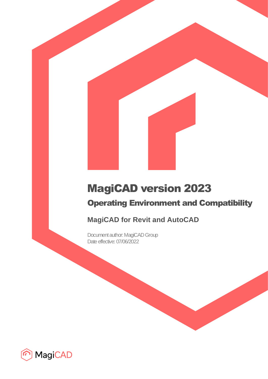# MagiCAD version 2023

# Operating Environment and Compatibility

## **MagiCAD for Revit and AutoCAD**

Document author: MagiCAD Group Date effective: 07/06/2022

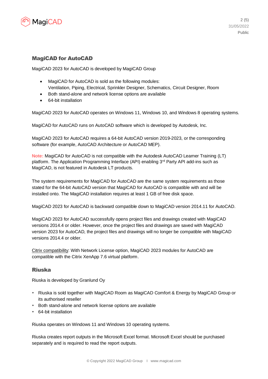

#### MagiCAD for AutoCAD

MagiCAD 2023 for AutoCAD is developed by MagiCAD Group

- MagiCAD for AutoCAD is sold as the following modules: Ventilation, Piping, Electrical, Sprinkler Designer, Schematics, Circuit Designer, Room
- Both stand-alone and network license options are available
- 64-bit installation

MagiCAD 2023 for AutoCAD operates on Windows 11, Windows 10, and Windows 8 operating systems.

MagiCAD for AutoCAD runs on AutoCAD software which is developed by Autodesk, Inc.

MagiCAD 2023 for AutoCAD requires a 64-bit AutoCAD version 2019-2023, or the corresponding software (for example, AutoCAD Architecture or AutoCAD MEP).

**Note:** MagiCAD for AutoCAD is not compatible with the Autodesk AutoCAD Learner Training (LT) platform. The Application Programming Interface (API) enabling 3<sup>rd</sup> Party API add-ins such as MagiCAD, is not featured in Autodesk LT products.

The system requirements for MagiCAD for AutoCAD are the same system requirements as those stated for the 64-bit AutoCAD version that MagiCAD for AutoCAD is compatible with and will be installed onto. The MagiCAD installation requires at least 1 GB of free disk space.

MagiCAD 2023 for AutoCAD is backward compatible down to MagiCAD version 2014.11 for AutoCAD.

MagiCAD 2023 for AutoCAD successfully opens project files and drawings created with MagiCAD versions 2014.4 or older. However, once the project files and drawings are saved with MagiCAD version 2023 for AutoCAD, the project files and drawings will no longer be compatible with MagiCAD versions 2014.4 or older.

Citrix compatibility: With Network License option, MagiCAD 2023 modules for AutoCAD are compatible with the Citrix XenApp 7.6 virtual platform.

#### Riuska

Riuska is developed by Granlund Oy

- Riuska is sold together with MagiCAD Room as MagiCAD Comfort & Energy by MagiCAD Group or its authorised reseller
- Both stand-alone and network license options are available
- 64-bit installation

Riuska operates on Windows 11 and Windows 10 operating systems.

Riuska creates report outputs in the Microsoft Excel format. Microsoft Excel should be purchased separately and is required to read the report outputs.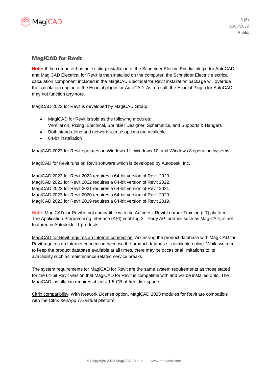

#### MagiCAD for Revit

**Note:** If the computer has an existing installation of the Schneider Electric Ecodial plugin for AutoCAD, and MagiCAD Electrical for Revit is then installed on the computer, the Schneider Electric electrical calculation component included in the MagiCAD Electrical for Revit installation package will override the calculation engine of the Ecodial plugin for AutoCAD. As a result, the Ecodial Plugin for AutoCAD may not function anymore.

MagiCAD 2023 for Revit is developed by MagiCAD Group.

- MagiCAD for Revit is sold as the following modules: Ventilation, Piping, Electrical, Sprinkler Designer, Schematics, and Supports & Hangers
- Both stand-alone and network license options are available
- 64-bit installation

MagiCAD 2023 for Revit operates on Windows 11, Windows 10, and Windows 8 operating systems.

MagiCAD for Revit runs on Revit software which is developed by Autodesk, Inc.

MagiCAD 2023 for Revit 2023 requires a 64-bit version of Revit 2023. MagiCAD 2023 for Revit 2022 requires a 64-bit version of Revit 2022. MagiCAD 2023 for Revit 2021 requires a 64-bit version of Revit 2021. MagiCAD 2023 for Revit 2020 requires a 64-bit version of Revit 2020. MagiCAD 2023 for Revit 2019 requires a 64-bit version of Revit 2019.

**Note:** MagiCAD for Revit is not compatible with the Autodesk Revit Learner Training (LT) platform. The Application Programming Interface (API) enabling 3<sup>rd</sup> Party API add-ins such as MagiCAD, is not featured in Autodesk LT products.

MagiCAD for Revit requires an Internet connection. Accessing the product database with MagiCAD for Revit requires an Internet connection because the product database is available online. While we aim to keep the product database available at all times, there may be occasional limitations to its availability such as maintenance-related service breaks.

The system requirements for MagiCAD for Revit are the same system requirements as those stated for the 64-bit Revit version that MagiCAD for Revit is compatible with and will be installed onto. The MagiCAD installation requires at least 1.5 GB of free disk space.

Citrix compatibility: With Network License option, MagiCAD 2023 modules for Revit are compatible with the Citrix XenApp 7.6 virtual platform.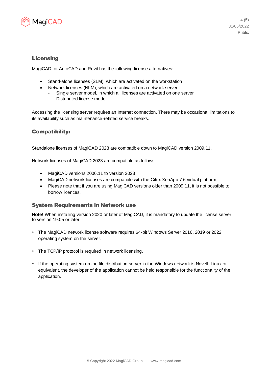

#### Licensing

MagiCAD for AutoCAD and Revit has the following license alternatives:

- Stand-alone licenses (SLM), which are activated on the workstation
- Network licenses (NLM), which are activated on a network server
	- Single server model, in which all licenses are activated on one server
	- Distributed license model

Accessing the licensing server requires an Internet connection. There may be occasional limitations to its availability such as maintenance-related service breaks.

#### Compatibility:

Standalone licenses of MagiCAD 2023 are compatible down to MagiCAD version 2009.11.

Network licenses of MagiCAD 2023 are compatible as follows:

- MagiCAD versions 2006.11 to version 2023
- MagiCAD network licenses are compatible with the Citrix XenApp 7.6 virtual platform
- Please note that if you are using MagiCAD versions older than 2009.11, it is not possible to borrow licences.

#### System Requirements in Network use

**Note!** When installing version 2020 or later of MagiCAD, it is mandatory to update the license server to version 19.05 or later.

- The MagiCAD network license software requires 64-bit Windows Server 2016, 2019 or 2022 operating system on the server.
- The TCP/IP protocol is required in network licensing.
- If the operating system on the file distribution server in the Windows network is Novell, Linux or equivalent, the developer of the application cannot be held responsible for the functionality of the application.